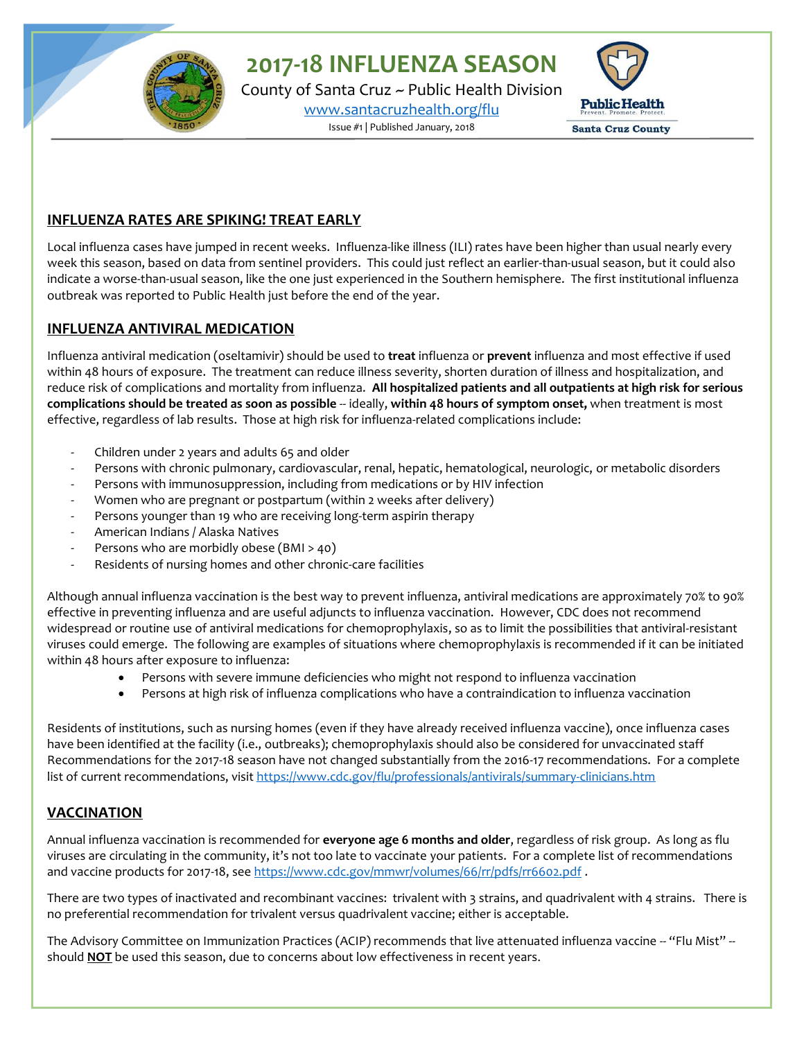**2017-18 INFLUENZA SEASON**

County of Santa Cruz ~ Public Health Division [www.santacruzhealth.org/flu](http://www.santacruzhealth.org/flu) Issue #1 | Published January, 2018



## **INFLUENZA RATES ARE SPIKING! TREAT EARLY**

Local influenza cases have jumped in recent weeks. Influenza-like illness (ILI) rates have been higher than usual nearly every week this season, based on data from sentinel providers. This could just reflect an earlier-than-usual season, but it could also indicate a worse-than-usual season, like the one just experienced in the Southern hemisphere. The first institutional influenza outbreak was reported to Public Health just before the end of the year.

### **INFLUENZA ANTIVIRAL MEDICATION**

Influenza antiviral medication (oseltamivir) should be used to **treat** influenza or **prevent** influenza and most effective if used within 48 hours of exposure. The treatment can reduce illness severity, shorten duration of illness and hospitalization, and reduce risk of complications and mortality from influenza. **All hospitalized patients and all outpatients at high risk for serious complications should be treated as soon as possible** -- ideally, **within 48 hours of symptom onset,** when treatment is most effective, regardless of lab results. Those at high risk for influenza-related complications include:

- Children under 2 years and adults 65 and older
- Persons with chronic pulmonary, cardiovascular, renal, hepatic, hematological, neurologic, or metabolic disorders
- Persons with immunosuppression, including from medications or by HIV infection
- Women who are pregnant or postpartum (within 2 weeks after delivery)
- Persons younger than 19 who are receiving long-term aspirin therapy
- American Indians / Alaska Natives
- Persons who are morbidly obese (BMI > 40)
- Residents of nursing homes and other chronic-care facilities

Although annual influenza vaccination is the best way to prevent influenza, antiviral medications are approximately 70% to 90% effective in preventing influenza and are useful adjuncts to influenza vaccination. However, CDC does not recommend widespread or routine use of antiviral medications for chemoprophylaxis, so as to limit the possibilities that antiviral-resistant viruses could emerge. The following are examples of situations where chemoprophylaxis is recommended if it can be initiated within 48 hours after exposure to influenza:

- Persons with severe immune deficiencies who might not respond to influenza vaccination
- Persons at high risk of influenza complications who have a contraindication to influenza vaccination

Residents of institutions, such as nursing homes (even if they have already received influenza vaccine), once influenza cases have been identified at the facility (i.e., outbreaks); chemoprophylaxis should also be considered for unvaccinated staff Recommendations for the 2017-18 season have not changed substantially from the 2016-17 recommendations. For a complete list of current recommendations, visi[t https://www.cdc.gov/flu/professionals/antivirals/summary-clinicians.htm](https://www.cdc.gov/flu/professionals/antivirals/summary-clinicians.htm)

# **VACCINATION**

Annual influenza vaccination is recommended for **everyone age 6 months and older**, regardless of risk group. As long as flu viruses are circulating in the community, it's not too late to vaccinate your patients. For a complete list of recommendations and vaccine products for 2017-18, se[e https://www.cdc.gov/mmwr/volumes/66/rr/pdfs/rr6602.pdf](https://www.cdc.gov/mmwr/volumes/66/rr/pdfs/rr6602.pdf).

There are two types of inactivated and recombinant vaccines: trivalent with 3 strains, and quadrivalent with 4 strains. There is no preferential recommendation for trivalent versus quadrivalent vaccine; either is acceptable.

The Advisory Committee on Immunization Practices (ACIP) recommends that live attenuated influenza vaccine -- "Flu Mist" -should **NOT** be used this season, due to concerns about low effectiveness in recent years.